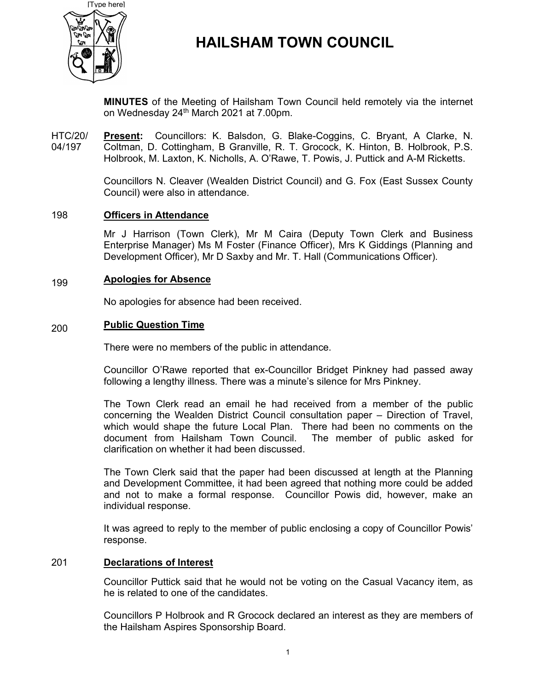

# HAILSHAM TOWN COUNCIL

MINUTES of the Meeting of Hailsham Town Council held remotely via the internet on Wednesday 24<sup>th</sup> March 2021 at 7.00pm.

HTC/20/ 04/197 Present: Councillors: K. Balsdon, G. Blake-Coggins, C. Bryant, A Clarke, N. Coltman, D. Cottingham, B Granville, R. T. Grocock, K. Hinton, B. Holbrook, P.S. Holbrook, M. Laxton, K. Nicholls, A. O'Rawe, T. Powis, J. Puttick and A-M Ricketts.

> Councillors N. Cleaver (Wealden District Council) and G. Fox (East Sussex County Council) were also in attendance.

#### 198 Officers in Attendance

Mr J Harrison (Town Clerk), Mr M Caira (Deputy Town Clerk and Business Enterprise Manager) Ms M Foster (Finance Officer), Mrs K Giddings (Planning and Development Officer), Mr D Saxby and Mr. T. Hall (Communications Officer).

#### 199 Apologies for Absence

No apologies for absence had been received.

#### 200 Public Question Time

There were no members of the public in attendance.

Councillor O'Rawe reported that ex-Councillor Bridget Pinkney had passed away following a lengthy illness. There was a minute's silence for Mrs Pinkney.

The Town Clerk read an email he had received from a member of the public concerning the Wealden District Council consultation paper – Direction of Travel, which would shape the future Local Plan. There had been no comments on the document from Hailsham Town Council. The member of public asked for clarification on whether it had been discussed.

The Town Clerk said that the paper had been discussed at length at the Planning and Development Committee, it had been agreed that nothing more could be added and not to make a formal response. Councillor Powis did, however, make an individual response.

It was agreed to reply to the member of public enclosing a copy of Councillor Powis' response.

### 201 Declarations of Interest

Councillor Puttick said that he would not be voting on the Casual Vacancy item, as he is related to one of the candidates.

Councillors P Holbrook and R Grocock declared an interest as they are members of the Hailsham Aspires Sponsorship Board.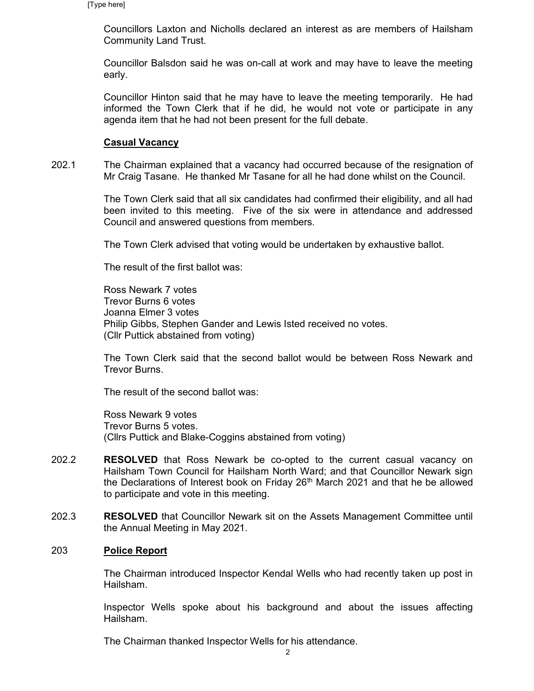Councillors Laxton and Nicholls declared an interest as are members of Hailsham Community Land Trust.

Councillor Balsdon said he was on-call at work and may have to leave the meeting early.

Councillor Hinton said that he may have to leave the meeting temporarily. He had informed the Town Clerk that if he did, he would not vote or participate in any agenda item that he had not been present for the full debate.

### Casual Vacancy

202.1 The Chairman explained that a vacancy had occurred because of the resignation of Mr Craig Tasane. He thanked Mr Tasane for all he had done whilst on the Council.

> The Town Clerk said that all six candidates had confirmed their eligibility, and all had been invited to this meeting. Five of the six were in attendance and addressed Council and answered questions from members.

The Town Clerk advised that voting would be undertaken by exhaustive ballot.

The result of the first ballot was:

Ross Newark 7 votes Trevor Burns 6 votes Joanna Elmer 3 votes Philip Gibbs, Stephen Gander and Lewis Isted received no votes. (Cllr Puttick abstained from voting)

The Town Clerk said that the second ballot would be between Ross Newark and Trevor Burns.

The result of the second ballot was:

Ross Newark 9 votes Trevor Burns 5 votes. (Cllrs Puttick and Blake-Coggins abstained from voting)

- 202.2 RESOLVED that Ross Newark be co-opted to the current casual vacancy on Hailsham Town Council for Hailsham North Ward; and that Councillor Newark sign the Declarations of Interest book on Friday 26<sup>th</sup> March 2021 and that he be allowed to participate and vote in this meeting.
- 202.3 RESOLVED that Councillor Newark sit on the Assets Management Committee until the Annual Meeting in May 2021.

### 203 Police Report

The Chairman introduced Inspector Kendal Wells who had recently taken up post in Hailsham.

Inspector Wells spoke about his background and about the issues affecting Hailsham.

The Chairman thanked Inspector Wells for his attendance.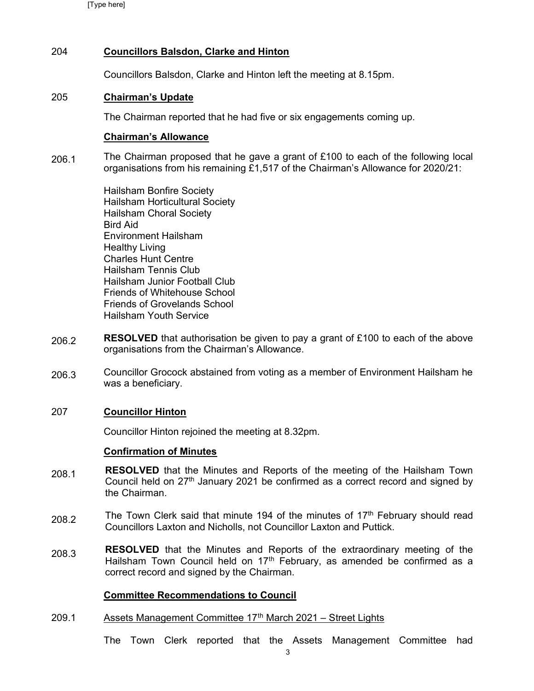[Type here]

# 204 Councillors Balsdon, Clarke and Hinton

Councillors Balsdon, Clarke and Hinton left the meeting at 8.15pm.

# 205 Chairman's Update

The Chairman reported that he had five or six engagements coming up.

# Chairman's Allowance

206.1 The Chairman proposed that he gave a grant of £100 to each of the following local organisations from his remaining £1,517 of the Chairman's Allowance for 2020/21:

> Hailsham Bonfire Society Hailsham Horticultural Society Hailsham Choral Society Bird Aid Environment Hailsham Healthy Living Charles Hunt Centre Hailsham Tennis Club Hailsham Junior Football Club Friends of Whitehouse School Friends of Grovelands School Hailsham Youth Service

- 206.2 **RESOLVED** that authorisation be given to pay a grant of £100 to each of the above organisations from the Chairman's Allowance.
- 206.3 Councillor Grocock abstained from voting as a member of Environment Hailsham he was a beneficiary.

# 207 Councillor Hinton

Councillor Hinton rejoined the meeting at 8.32pm.

# Confirmation of Minutes

- 208.1 RESOLVED that the Minutes and Reports of the meeting of the Hailsham Town Council held on  $27<sup>th</sup>$  January 2021 be confirmed as a correct record and signed by the Chairman.
- 208.2 The Town Clerk said that minute 194 of the minutes of  $17<sup>th</sup>$  February should read Councillors Laxton and Nicholls, not Councillor Laxton and Puttick.
- 208.3 RESOLVED that the Minutes and Reports of the extraordinary meeting of the Hailsham Town Council held on  $17<sup>th</sup>$  February, as amended be confirmed as a correct record and signed by the Chairman.

# Committee Recommendations to Council

209.1 Assets Management Committee 17<sup>th</sup> March 2021 – Street Lights

The Town Clerk reported that the Assets Management Committee had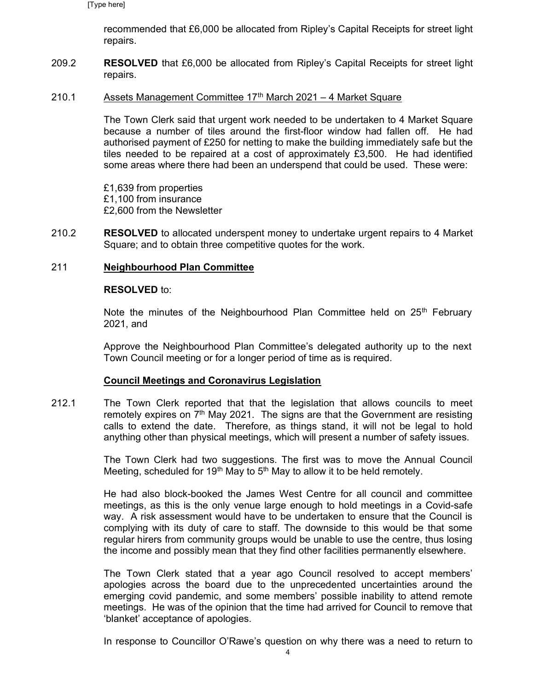recommended that £6,000 be allocated from Ripley's Capital Receipts for street light repairs.

209.2 RESOLVED that £6,000 be allocated from Ripley's Capital Receipts for street light repairs.

#### 210.1 Assets Management Committee 17<sup>th</sup> March 2021 – 4 Market Square

The Town Clerk said that urgent work needed to be undertaken to 4 Market Square because a number of tiles around the first-floor window had fallen off. He had authorised payment of £250 for netting to make the building immediately safe but the tiles needed to be repaired at a cost of approximately £3,500. He had identified some areas where there had been an underspend that could be used. These were:

£1,639 from properties £1,100 from insurance £2,600 from the Newsletter

210.2 RESOLVED to allocated underspent money to undertake urgent repairs to 4 Market Square; and to obtain three competitive quotes for the work.

#### 211 Neighbourhood Plan Committee

#### RESOLVED to:

Note the minutes of the Neighbourhood Plan Committee held on  $25<sup>th</sup>$  February 2021, and

Approve the Neighbourhood Plan Committee's delegated authority up to the next Town Council meeting or for a longer period of time as is required.

#### Council Meetings and Coronavirus Legislation

212.1 The Town Clerk reported that that the legislation that allows councils to meet remotely expires on  $7<sup>th</sup>$  May 2021. The signs are that the Government are resisting calls to extend the date. Therefore, as things stand, it will not be legal to hold anything other than physical meetings, which will present a number of safety issues.

> The Town Clerk had two suggestions. The first was to move the Annual Council Meeting, scheduled for 19<sup>th</sup> May to 5<sup>th</sup> May to allow it to be held remotely.

> He had also block-booked the James West Centre for all council and committee meetings, as this is the only venue large enough to hold meetings in a Covid-safe way. A risk assessment would have to be undertaken to ensure that the Council is complying with its duty of care to staff. The downside to this would be that some regular hirers from community groups would be unable to use the centre, thus losing the income and possibly mean that they find other facilities permanently elsewhere.

> The Town Clerk stated that a year ago Council resolved to accept members' apologies across the board due to the unprecedented uncertainties around the emerging covid pandemic, and some members' possible inability to attend remote meetings. He was of the opinion that the time had arrived for Council to remove that 'blanket' acceptance of apologies.

> In response to Councillor O'Rawe's question on why there was a need to return to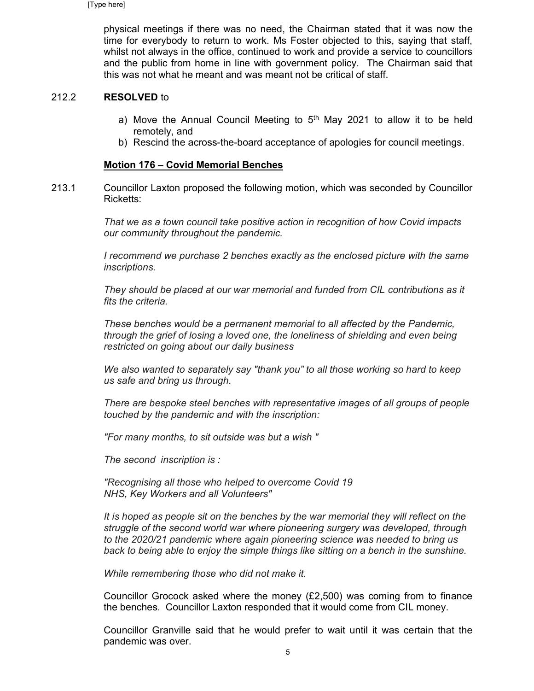physical meetings if there was no need, the Chairman stated that it was now the time for everybody to return to work. Ms Foster objected to this, saying that staff, whilst not always in the office, continued to work and provide a service to councillors and the public from home in line with government policy. The Chairman said that this was not what he meant and was meant not be critical of staff.

#### 212.2 RESOLVED to

- a) Move the Annual Council Meeting to  $5<sup>th</sup>$  May 2021 to allow it to be held remotely, and
- b) Rescind the across-the-board acceptance of apologies for council meetings.

### Motion 176 – Covid Memorial Benches

213.1 Councillor Laxton proposed the following motion, which was seconded by Councillor Ricketts:

> That we as a town council take positive action in recognition of how Covid impacts our community throughout the pandemic.

I recommend we purchase 2 benches exactly as the enclosed picture with the same inscriptions.

They should be placed at our war memorial and funded from CIL contributions as it fits the criteria.

These benches would be a permanent memorial to all affected by the Pandemic, through the grief of losing a loved one, the loneliness of shielding and even being restricted on going about our daily business

We also wanted to separately say "thank you" to all those working so hard to keep us safe and bring us through.

There are bespoke steel benches with representative images of all groups of people touched by the pandemic and with the inscription:

"For many months, to sit outside was but a wish "

The second inscription is :

"Recognising all those who helped to overcome Covid 19 NHS, Key Workers and all Volunteers"

It is hoped as people sit on the benches by the war memorial they will reflect on the struggle of the second world war where pioneering surgery was developed, through to the 2020/21 pandemic where again pioneering science was needed to bring us back to being able to enjoy the simple things like sitting on a bench in the sunshine.

While remembering those who did not make it.

Councillor Grocock asked where the money (£2,500) was coming from to finance the benches. Councillor Laxton responded that it would come from CIL money.

Councillor Granville said that he would prefer to wait until it was certain that the pandemic was over.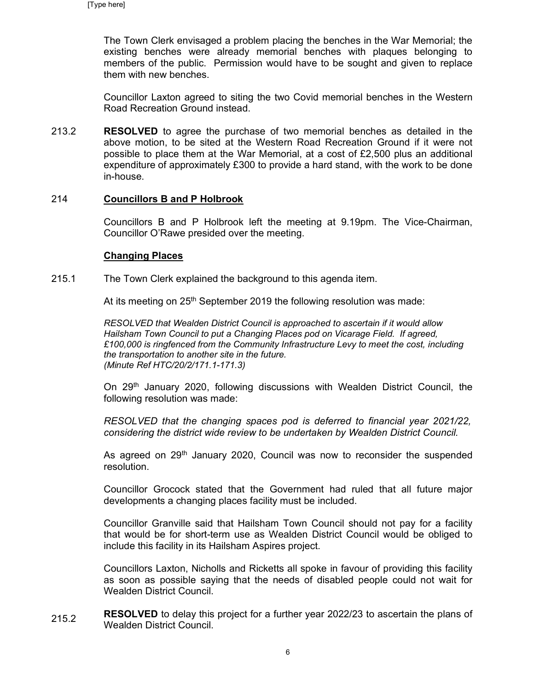The Town Clerk envisaged a problem placing the benches in the War Memorial; the existing benches were already memorial benches with plaques belonging to members of the public. Permission would have to be sought and given to replace them with new benches.

Councillor Laxton agreed to siting the two Covid memorial benches in the Western Road Recreation Ground instead.

213.2 RESOLVED to agree the purchase of two memorial benches as detailed in the above motion, to be sited at the Western Road Recreation Ground if it were not possible to place them at the War Memorial, at a cost of £2,500 plus an additional expenditure of approximately £300 to provide a hard stand, with the work to be done in-house.

# 214 Councillors B and P Holbrook

Councillors B and P Holbrook left the meeting at 9.19pm. The Vice-Chairman, Councillor O'Rawe presided over the meeting.

### Changing Places

215.1 The Town Clerk explained the background to this agenda item.

At its meeting on  $25<sup>th</sup>$  September 2019 the following resolution was made:

RESOLVED that Wealden District Council is approached to ascertain if it would allow Hailsham Town Council to put a Changing Places pod on Vicarage Field. If agreed, £100,000 is ringfenced from the Community Infrastructure Levy to meet the cost, including the transportation to another site in the future. (Minute Ref HTC/20/2/171.1-171.3)

On 29th January 2020, following discussions with Wealden District Council, the following resolution was made:

RESOLVED that the changing spaces pod is deferred to financial year 2021/22, considering the district wide review to be undertaken by Wealden District Council.

As agreed on 29<sup>th</sup> January 2020, Council was now to reconsider the suspended resolution.

Councillor Grocock stated that the Government had ruled that all future major developments a changing places facility must be included.

Councillor Granville said that Hailsham Town Council should not pay for a facility that would be for short-term use as Wealden District Council would be obliged to include this facility in its Hailsham Aspires project.

Councillors Laxton, Nicholls and Ricketts all spoke in favour of providing this facility as soon as possible saying that the needs of disabled people could not wait for Wealden District Council.

215.2 RESOLVED to delay this project for a further year 2022/23 to ascertain the plans of Wealden District Council.